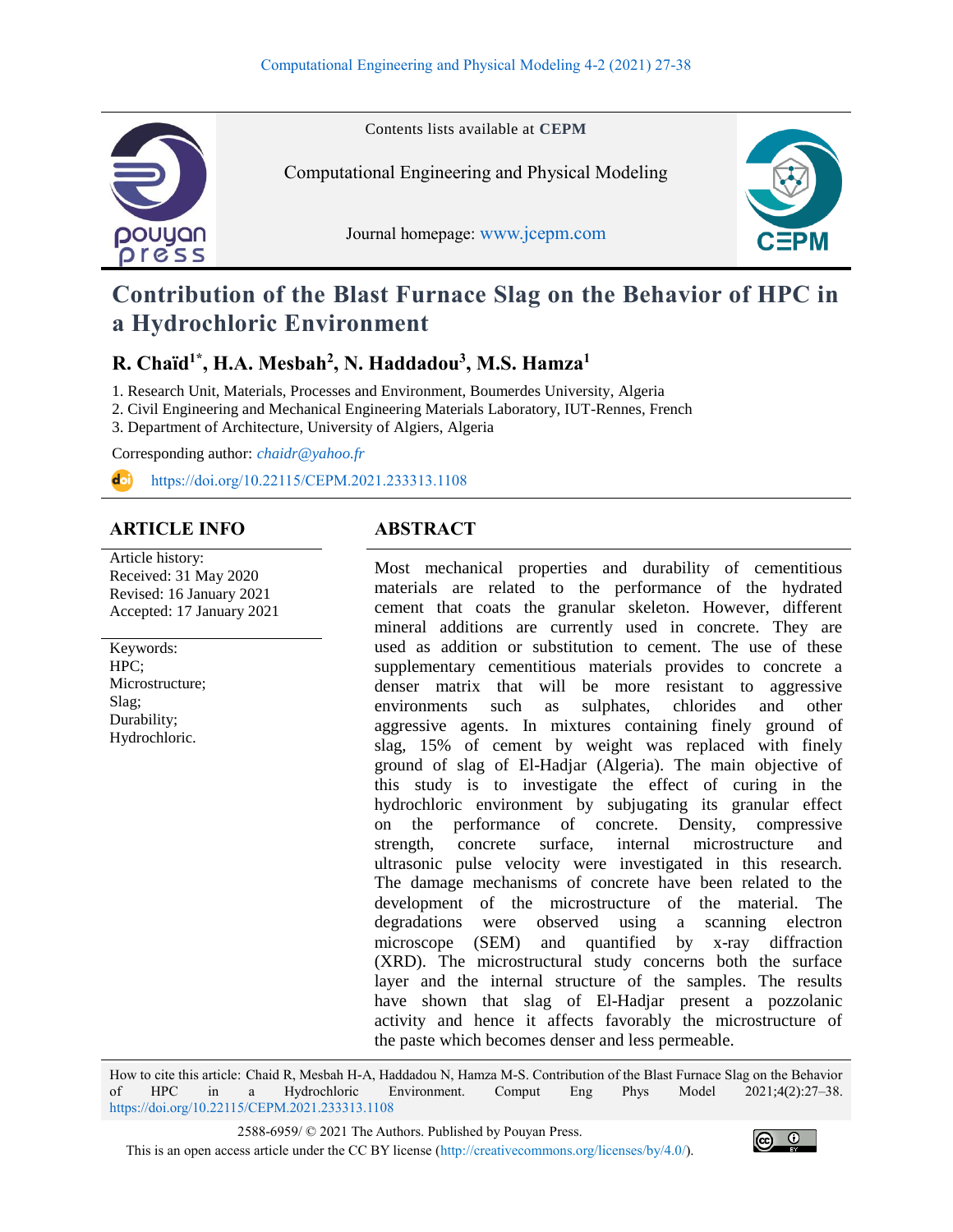

Contents lists available at **CEPM**

Computational Engineering and Physical Modeling

Journal homepage: [www.jcepm.com](http://www.jcepm.com/)



# **Contribution of the Blast Furnace Slag on the Behavior of HPC in a Hydrochloric Environment**

## **R. Chaïd1\*, H.A. Mesbah<sup>2</sup> , N. Haddadou<sup>3</sup> , M.S. Hamza<sup>1</sup>**

1. Research Unit, Materials, Processes and Environment, Boumerdes University, Algeria

- 2. Civil Engineering and Mechanical Engineering Materials Laboratory, IUT-Rennes, French
- 3. Department of Architecture, University of Algiers, Algeria

Corresponding author: *[chaidr@yahoo.fr](mailto:chaidr@yahoo.fr)*

<https://doi.org/10.22115/CEPM.2021.233313.1108> d il

#### **ARTICLE INFO ABSTRACT**

Article history: Received: 31 May 2020 Revised: 16 January 2021 Accepted: 17 January 2021

Keywords: HPC; Microstructure; Slag; Durability; Hydrochloric.

Most mechanical properties and durability of cementitious materials are related to the performance of the hydrated cement that coats the granular skeleton. However, different mineral additions are currently used in concrete. They are used as addition or substitution to cement. The use of these supplementary cementitious materials provides to concrete a denser matrix that will be more resistant to aggressive environments such as sulphates, chlorides and other aggressive agents. In mixtures containing finely ground of slag, 15% of cement by weight was replaced with finely ground of slag of El-Hadjar (Algeria). The main objective of this study is to investigate the effect of curing in the hydrochloric environment by subjugating its granular effect on the performance of concrete. Density, compressive strength, concrete surface, internal microstructure and ultrasonic pulse velocity were investigated in this research. The damage mechanisms of concrete have been related to the development of the microstructure of the material. The degradations were observed using a scanning electron microscope (SEM) and quantified by x-ray diffraction (XRD). The microstructural study concerns both the surface layer and the internal structure of the samples. The results have shown that slag of El-Hadjar present a pozzolanic activity and hence it affects favorably the microstructure of the paste which becomes denser and less permeable.

How to cite this article: Chaid R, Mesbah H-A, Haddadou N, Hamza M-S. Contribution of the Blast Furnace Slag on the Behavior of HPC in a Hydrochloric Environment. Comput Eng Phys Model 2021;4(2):27–38. <https://doi.org/10.22115/CEPM.2021.233313.1108>

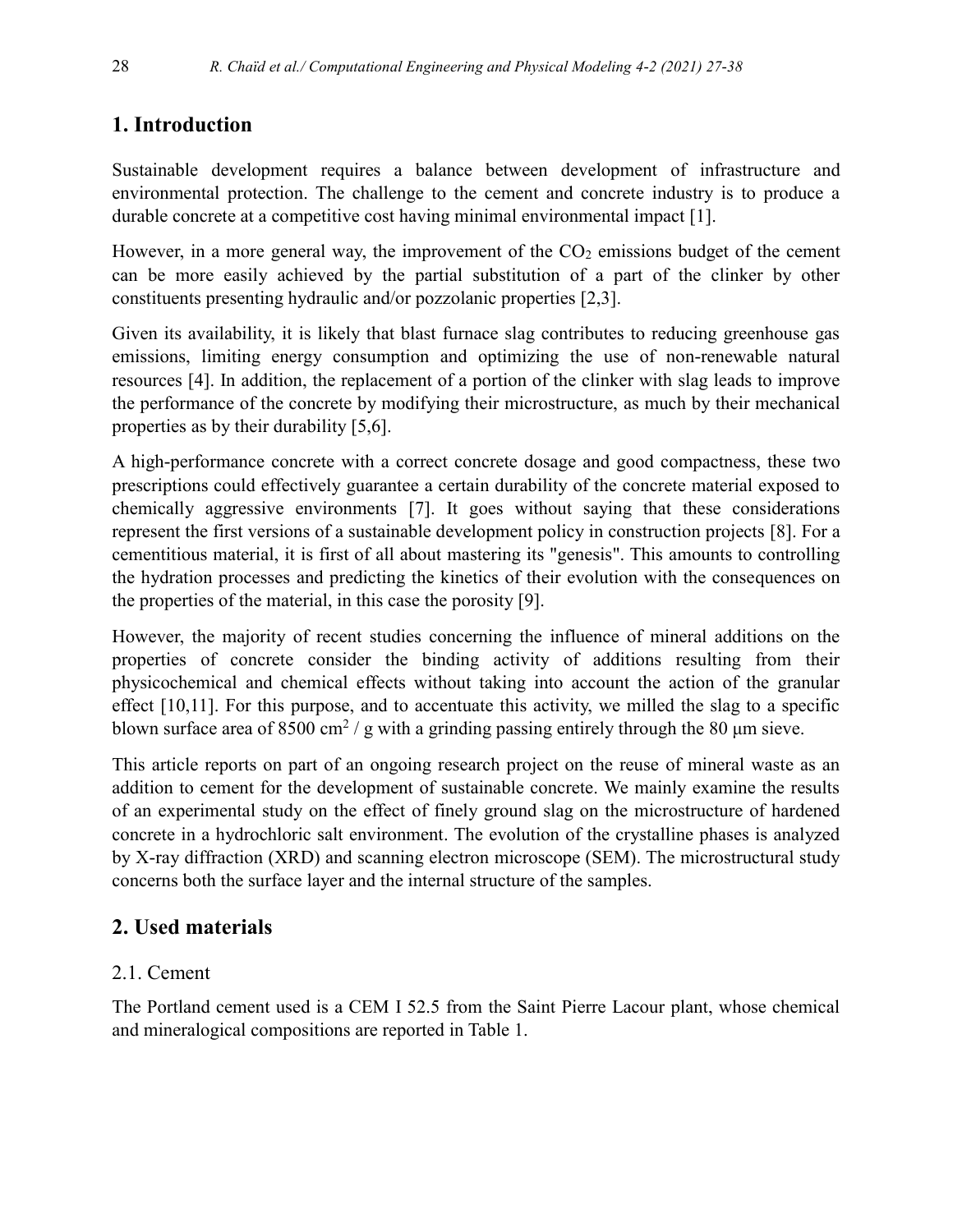# **1. Introduction**

Sustainable development requires a balance between development of infrastructure and environmental protection. The challenge to the cement and concrete industry is to produce a durable concrete at a competitive cost having minimal environmental impact [1].

However, in a more general way, the improvement of the  $CO<sub>2</sub>$  emissions budget of the cement can be more easily achieved by the partial substitution of a part of the clinker by other constituents presenting hydraulic and/or pozzolanic properties [2,3].

Given its availability, it is likely that blast furnace slag contributes to reducing greenhouse gas emissions, limiting energy consumption and optimizing the use of non-renewable natural resources [4]. In addition, the replacement of a portion of the clinker with slag leads to improve the performance of the concrete by modifying their microstructure, as much by their mechanical properties as by their durability [5,6].

A high-performance concrete with a correct concrete dosage and good compactness, these two prescriptions could effectively guarantee a certain durability of the concrete material exposed to chemically aggressive environments [7]. It goes without saying that these considerations represent the first versions of a sustainable development policy in construction projects [8]. For a cementitious material, it is first of all about mastering its "genesis". This amounts to controlling the hydration processes and predicting the kinetics of their evolution with the consequences on the properties of the material, in this case the porosity [9].

However, the majority of recent studies concerning the influence of mineral additions on the properties of concrete consider the binding activity of additions resulting from their physicochemical and chemical effects without taking into account the action of the granular effect [10,11]. For this purpose, and to accentuate this activity, we milled the slag to a specific blown surface area of 8500 cm<sup>2</sup> / g with a grinding passing entirely through the 80  $\mu$ m sieve.

This article reports on part of an ongoing research project on the reuse of mineral waste as an addition to cement for the development of sustainable concrete. We mainly examine the results of an experimental study on the effect of finely ground slag on the microstructure of hardened concrete in a hydrochloric salt environment. The evolution of the crystalline phases is analyzed by X-ray diffraction (XRD) and scanning electron microscope (SEM). The microstructural study concerns both the surface layer and the internal structure of the samples.

# **2. Used materials**

# 2.1. Cement

The Portland cement used is a CEM I 52.5 from the Saint Pierre Lacour plant, whose chemical and mineralogical compositions are reported in Table 1.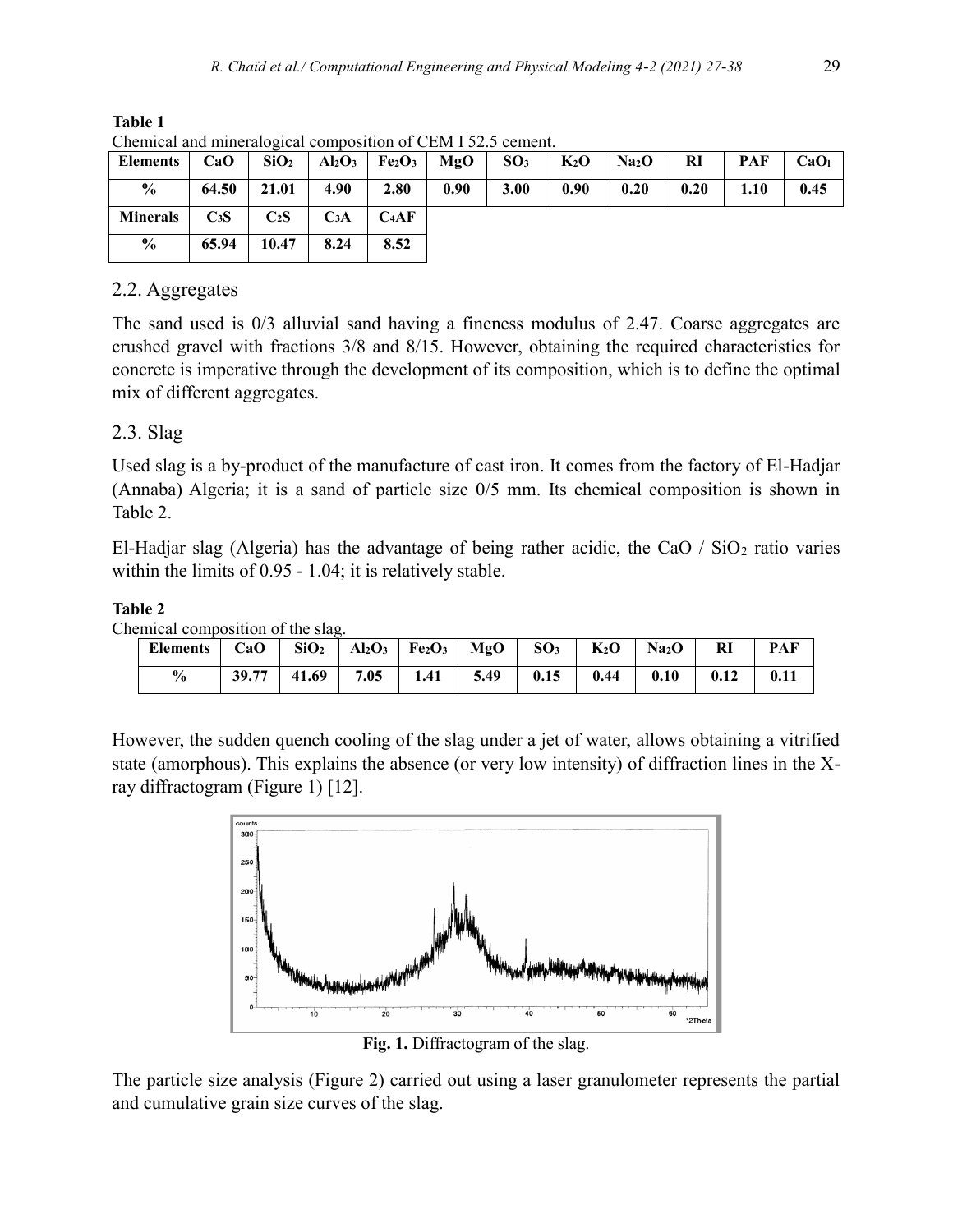| envinitum und immerant composition of CERT FO2.5 coment. |                  |                  |                  |                                                                           |      |        |        |                       |      |      |      |
|----------------------------------------------------------|------------------|------------------|------------------|---------------------------------------------------------------------------|------|--------|--------|-----------------------|------|------|------|
| Elements                                                 | CaO              | SiO <sub>2</sub> |                  | $ $ Al <sub>2</sub> O <sub>3</sub>   Fe <sub>2</sub> O <sub>3</sub>   MgO |      | $SO_3$ | $K_2O$ | $ $ Na <sub>2</sub> O | RI   | PAF  | CaOı |
| $\frac{6}{9}$                                            | 64.50            | 21.01            | 4.90             | 2.80                                                                      | 0.90 | 3.00   | 0.90   | 0.20                  | 0.20 | 1.10 | 0.45 |
| <b>Minerals</b>                                          | C <sub>3</sub> S | $C_2S$           | C <sub>3</sub> A | $C_4AF$                                                                   |      |        |        |                       |      |      |      |
| $\frac{6}{6}$                                            | 65.94            | 10.47            | 8.24             | 8.52                                                                      |      |        |        |                       |      |      |      |

**Table 1** Chemical and mineralogical composition of CEM I 52.5 cement.

### 2.2. Aggregates

The sand used is 0/3 alluvial sand having a fineness modulus of 2.47. Coarse aggregates are crushed gravel with fractions 3/8 and 8/15. However, obtaining the required characteristics for concrete is imperative through the development of its composition, which is to define the optimal mix of different aggregates.

## 2.3. Slag

Used slag is a by-product of the manufacture of cast iron. It comes from the factory of El-Hadjar (Annaba) Algeria; it is a sand of particle size 0/5 mm. Its chemical composition is shown in Table 2.

El-Hadjar slag (Algeria) has the advantage of being rather acidic, the CaO  $/$  SiO<sub>2</sub> ratio varies within the limits of 0.95 - 1.04; it is relatively stable.

#### **Table 2**

Chemical composition of the slag.

| Elements   CaO   SiO <sub>2</sub>   Al <sub>2</sub> O <sub>3</sub>   Fe <sub>2</sub> O <sub>3</sub>   MgO   SO <sub>3</sub>   K <sub>2</sub> O   Na <sub>2</sub> O   RI |                                                                        |  |  |  |  | PAF  |
|-------------------------------------------------------------------------------------------------------------------------------------------------------------------------|------------------------------------------------------------------------|--|--|--|--|------|
| $\frac{6}{9}$                                                                                                                                                           | $\vert$ 39.77   41.69   7.05   1.41   5.49   0.15   0.44   0.10   0.12 |  |  |  |  | 0.11 |

However, the sudden quench cooling of the slag under a jet of water, allows obtaining a vitrified state (amorphous). This explains the absence (or very low intensity) of diffraction lines in the Xray diffractogram (Figure 1) [12].



**Fig. 1.** Diffractogram of the slag.

The particle size analysis (Figure 2) carried out using a laser granulometer represents the partial and cumulative grain size curves of the slag.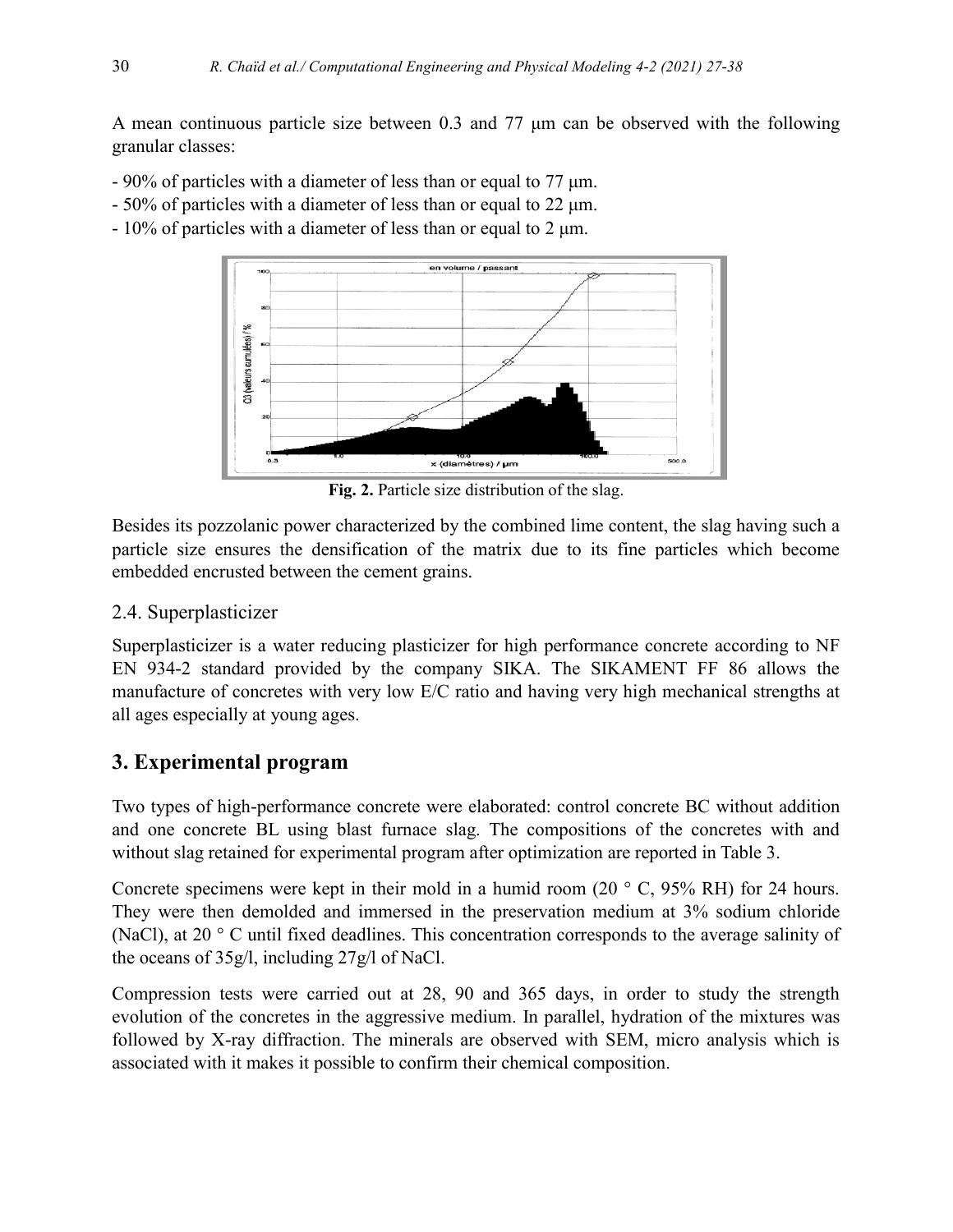A mean continuous particle size between 0.3 and 77 μm can be observed with the following granular classes:

- 90% of particles with a diameter of less than or equal to 77 μm.
- 50% of particles with a diameter of less than or equal to 22 μm.
- 10% of particles with a diameter of less than or equal to 2 μm.



**Fig. 2.** Particle size distribution of the slag.

Besides its pozzolanic power characterized by the combined lime content, the slag having such a particle size ensures the densification of the matrix due to its fine particles which become embedded encrusted between the cement grains.

### 2.4. Superplasticizer

Superplasticizer is a water reducing plasticizer for high performance concrete according to NF EN 934-2 standard provided by the company SIKA. The SIKAMENT FF 86 allows the manufacture of concretes with very low E/C ratio and having very high mechanical strengths at all ages especially at young ages.

# **3. Experimental program**

Two types of high-performance concrete were elaborated: control concrete BC without addition and one concrete BL using blast furnace slag. The compositions of the concretes with and without slag retained for experimental program after optimization are reported in Table 3.

Concrete specimens were kept in their mold in a humid room  $(20 \circ C, 95\% \text{ RH})$  for 24 hours. They were then demolded and immersed in the preservation medium at 3% sodium chloride (NaCl), at 20 ° C until fixed deadlines. This concentration corresponds to the average salinity of the oceans of 35g/l, including 27g/l of NaCl.

Compression tests were carried out at 28, 90 and 365 days, in order to study the strength evolution of the concretes in the aggressive medium. In parallel, hydration of the mixtures was followed by X-ray diffraction. The minerals are observed with SEM, micro analysis which is associated with it makes it possible to confirm their chemical composition.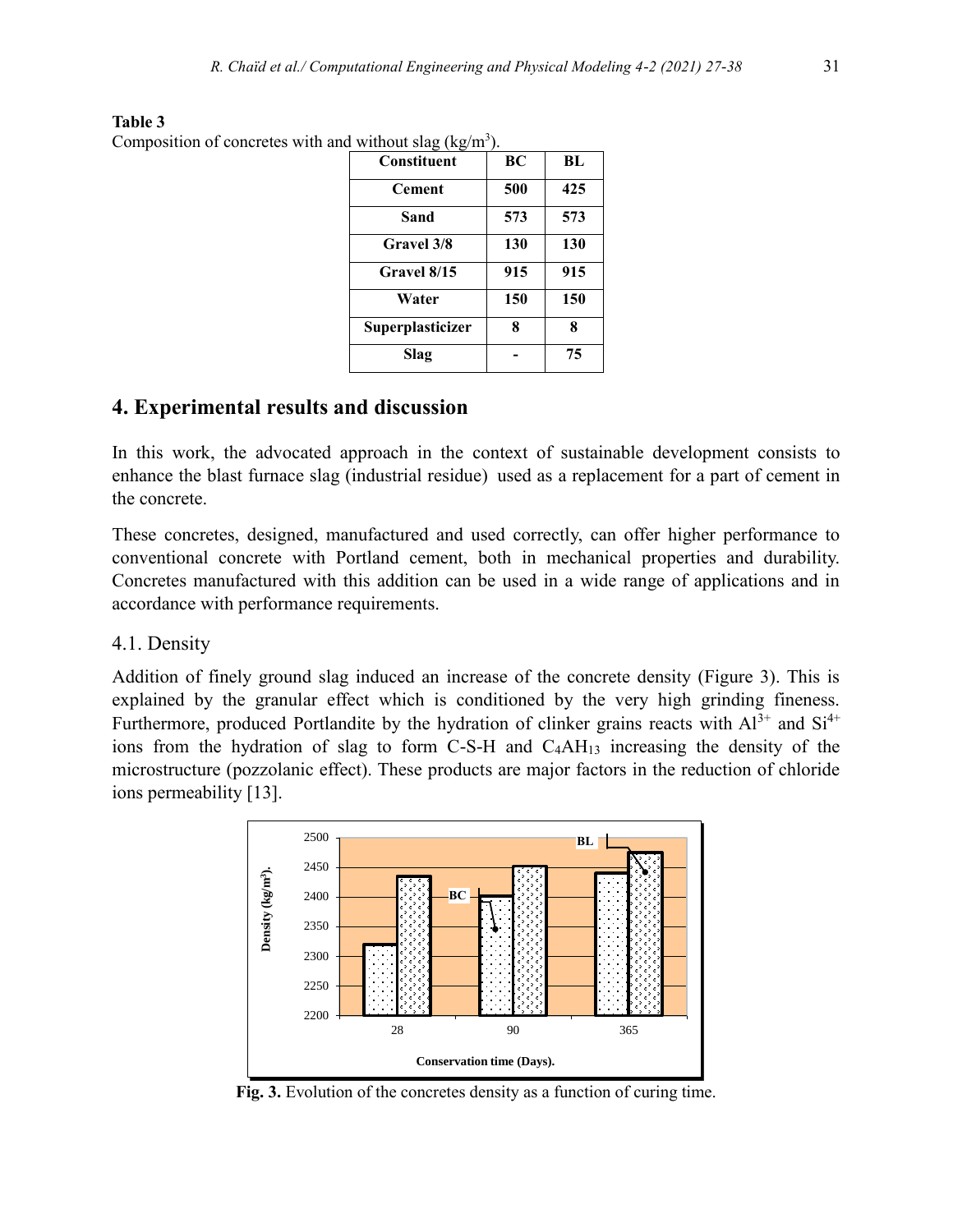| 0 \ 0<br>Constituent | BC  | BL  |
|----------------------|-----|-----|
| <b>Cement</b>        | 500 | 425 |
| Sand                 | 573 | 573 |
| <b>Gravel</b> 3/8    | 130 | 130 |
| Gravel 8/15          | 915 | 915 |
| Water                | 150 | 150 |
| Superplasticizer     | 8   | 8   |
| Slag                 |     | 75  |

**Table 3** Composition of concretes with and without slag (kg/m<sup>3</sup>).

## **4. Experimental results and discussion**

In this work, the advocated approach in the context of sustainable development consists to enhance the blast furnace slag (industrial residue) used as a replacement for a part of cement in the concrete.

These concretes, designed, manufactured and used correctly, can offer higher performance to conventional concrete with Portland cement, both in mechanical properties and durability. Concretes manufactured with this addition can be used in a wide range of applications and in accordance with performance requirements.

#### 4.1. Density

Addition of finely ground slag induced an increase of the concrete density (Figure 3). This is explained by the granular effect which is conditioned by the very high grinding fineness. Furthermore, produced Portlandite by the hydration of clinker grains reacts with  $Al^{3+}$  and  $Si^{4+}$ ions from the hydration of slag to form C-S-H and C4AH<sup>13</sup> increasing the density of the microstructure (pozzolanic effect). These products are major factors in the reduction of chloride ions permeability [13].



**Fig. 3.** Evolution of the concretes density as a function of curing time.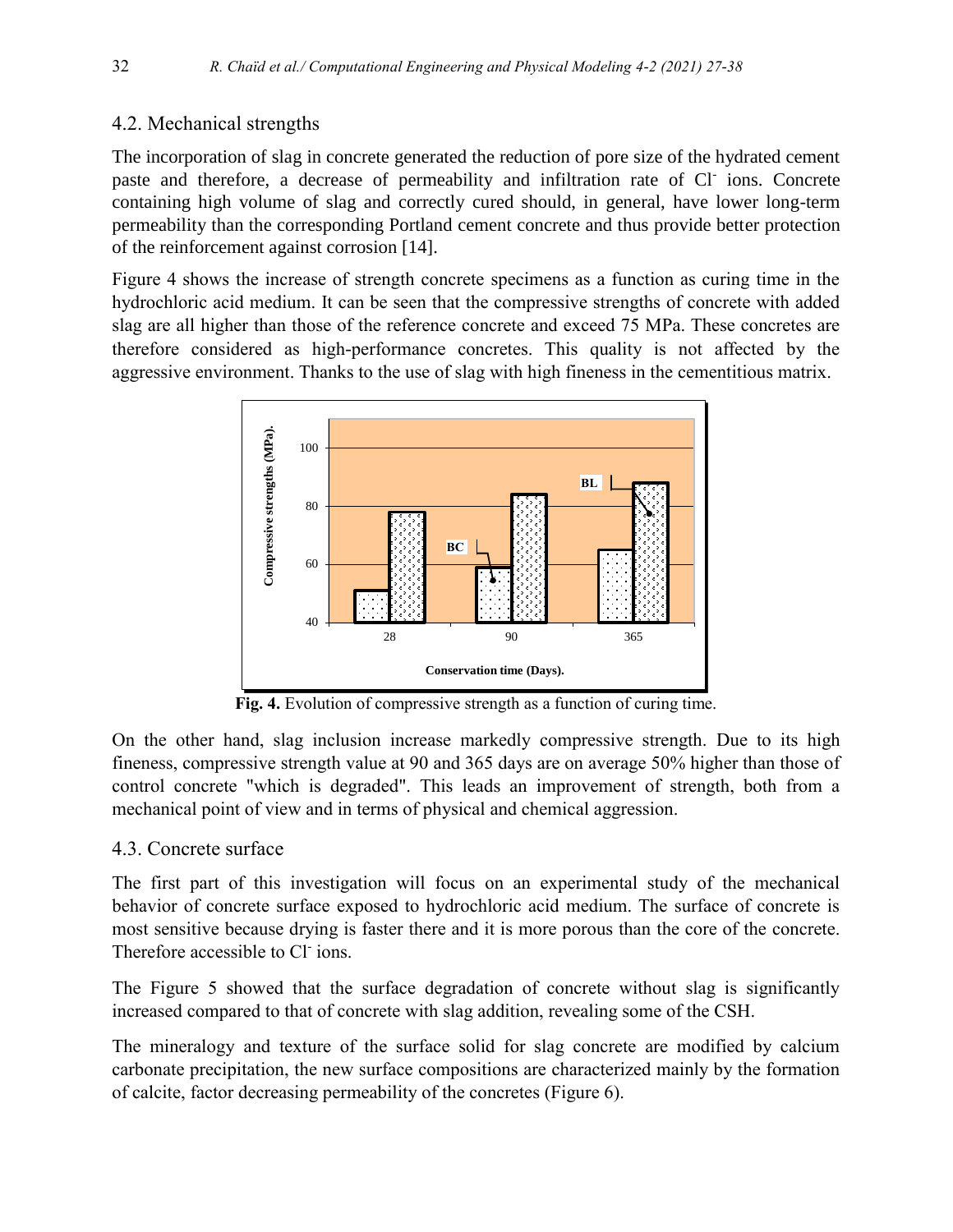## 4.2. Mechanical strengths

The incorporation of slag in concrete generated the reduction of pore size of the hydrated cement paste and therefore, a decrease of permeability and infiltration rate of Cl ions. Concrete containing high volume of slag and correctly cured should, in general, have lower long-term permeability than the corresponding Portland cement concrete and thus provide better protection of the reinforcement against corrosion [14].

Figure 4 shows the increase of strength concrete specimens as a function as curing time in the hydrochloric acid medium. It can be seen that the compressive strengths of concrete with added slag are all higher than those of the reference concrete and exceed 75 MPa. These concretes are therefore considered as high-performance concretes. This quality is not affected by the aggressive environment. Thanks to the use of slag with high fineness in the cementitious matrix.



**Fig. 4.** Evolution of compressive strength as a function of curing time.

On the other hand, slag inclusion increase markedly compressive strength. Due to its high fineness, compressive strength value at 90 and 365 days are on average 50% higher than those of control concrete "which is degraded". This leads an improvement of strength, both from a mechanical point of view and in terms of physical and chemical aggression.

## 4.3. Concrete surface

The first part of this investigation will focus on an experimental study of the mechanical behavior of concrete surface exposed to hydrochloric acid medium. The surface of concrete is most sensitive because drying is faster there and it is more porous than the core of the concrete. Therefore accessible to Cl ions.

The Figure 5 showed that the surface degradation of concrete without slag is significantly increased compared to that of concrete with slag addition, revealing some of the CSH.

The mineralogy and texture of the surface solid for slag concrete are modified by calcium carbonate precipitation, the new surface compositions are characterized mainly by the formation of calcite, factor decreasing permeability of the concretes (Figure 6).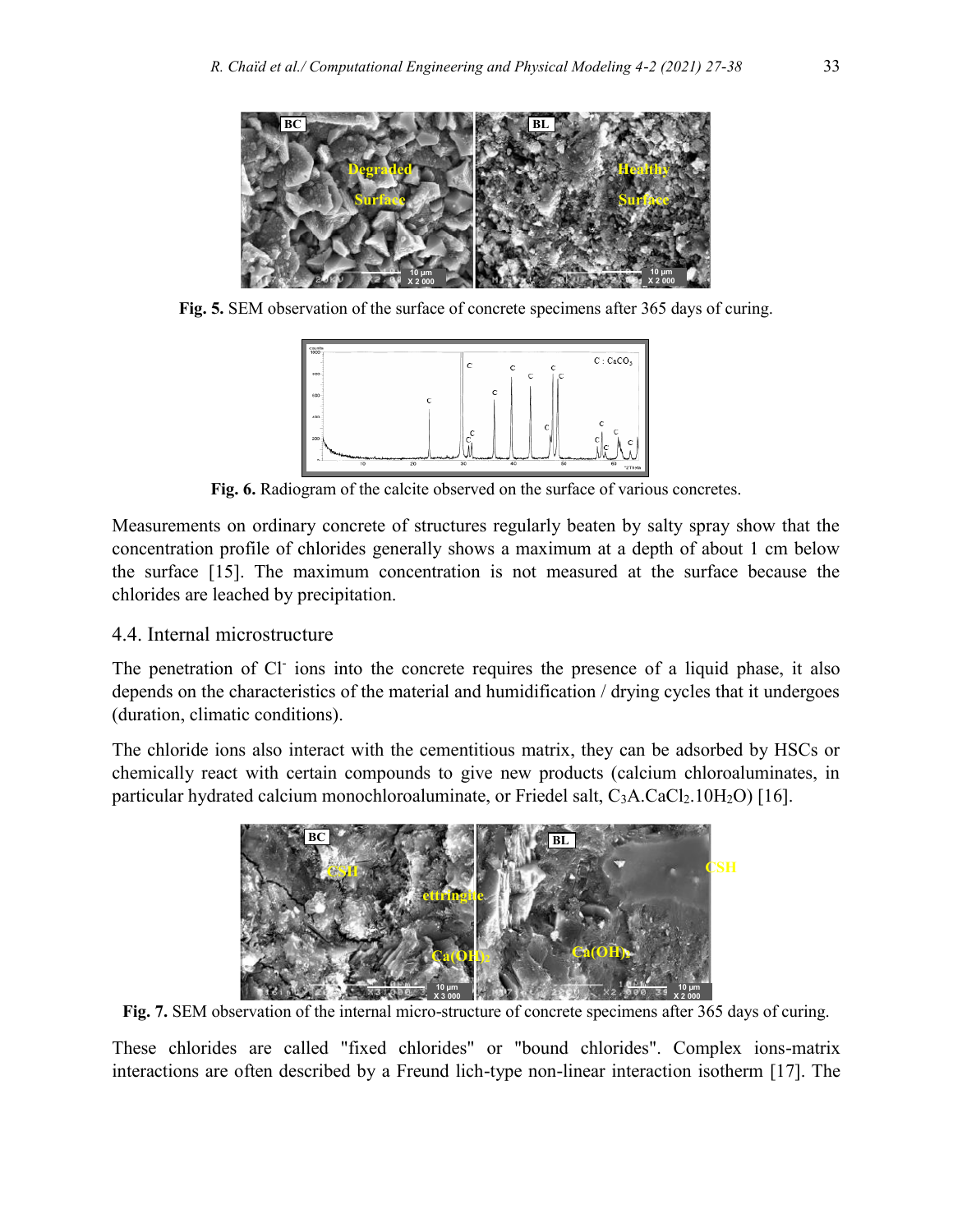

**Fig. 5.** SEM observation of the surface of concrete specimens after 365 days of curing.



Fig. 6. Radiogram of the calcite observed on the surface of various concretes.

Measurements on ordinary concrete of structures regularly beaten by salty spray show that the concentration profile of chlorides generally shows a maximum at a depth of about 1 cm below the surface [15]. The maximum concentration is not measured at the surface because the chlorides are leached by precipitation.

#### 4.4. Internal microstructure

The penetration of Cl ions into the concrete requires the presence of a liquid phase, it also depends on the characteristics of the material and humidification / drying cycles that it undergoes (duration, climatic conditions).

The chloride ions also interact with the cementitious matrix, they can be adsorbed by HSCs or chemically react with certain compounds to give new products (calcium chloroaluminates, in particular hydrated calcium monochloroaluminate, or Friedel salt,  $C_3A.CaCl_2.10H_2O$  [16].



**Fig. 7.** SEM observation of the internal micro-structure of concrete specimens after 365 days of curing.

These chlorides are called "fixed chlorides" or "bound chlorides". Complex ions-matrix interactions are often described by a Freund lich-type non-linear interaction isotherm [17]. The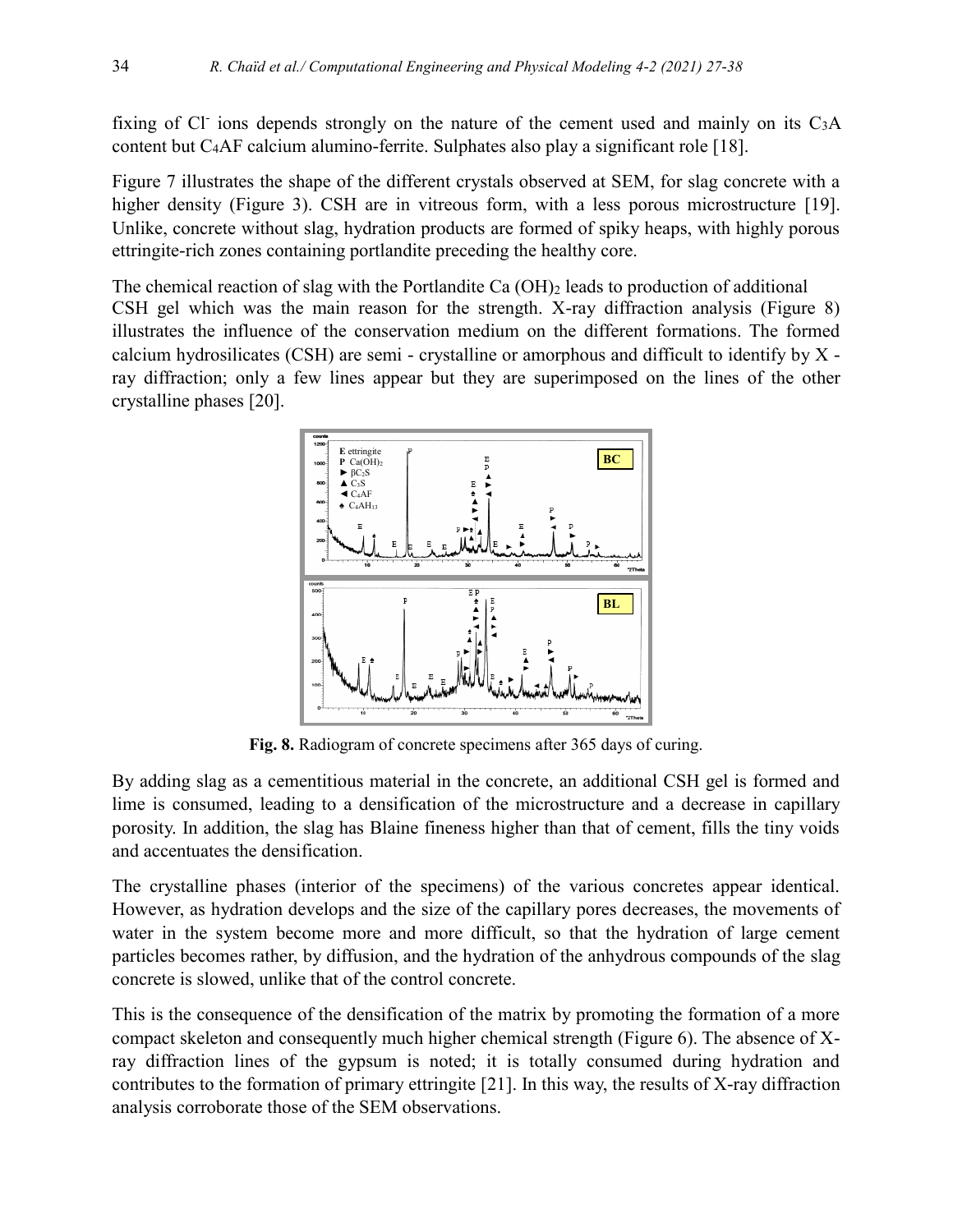fixing of Cl<sup>-</sup> ions depends strongly on the nature of the cement used and mainly on its  $C_3A$ content but C4AF calcium alumino-ferrite. Sulphates also play a significant role [18].

Figure 7 illustrates the shape of the different crystals observed at SEM, for slag concrete with a higher density (Figure 3). CSH are in vitreous form, with a less porous microstructure [19]. Unlike, concrete without slag, hydration products are formed of spiky heaps, with highly porous ettringite-rich zones containing portlandite preceding the healthy core.

The chemical reaction of slag with the Portlandite Ca (OH)<sub>2</sub> leads to production of additional CSH gel which was the main reason for the strength. X-ray diffraction analysis (Figure 8) illustrates the influence of the conservation medium on the different formations. The formed calcium hydrosilicates (CSH) are semi - crystalline or amorphous and difficult to identify by X ray diffraction; only a few lines appear but they are superimposed on the lines of the other crystalline phases [20].



**Fig. 8.** Radiogram of concrete specimens after 365 days of curing.

By adding slag as a cementitious material in the concrete, an additional CSH gel is formed and lime is consumed, leading to a densification of the microstructure and a decrease in capillary porosity. In addition, the slag has Blaine fineness higher than that of cement, fills the tiny voids and accentuates the densification.

The crystalline phases (interior of the specimens) of the various concretes appear identical. However, as hydration develops and the size of the capillary pores decreases, the movements of water in the system become more and more difficult, so that the hydration of large cement particles becomes rather, by diffusion, and the hydration of the anhydrous compounds of the slag concrete is slowed, unlike that of the control concrete.

This is the consequence of the densification of the matrix by promoting the formation of a more compact skeleton and consequently much higher chemical strength (Figure 6). The absence of Xray diffraction lines of the gypsum is noted; it is totally consumed during hydration and contributes to the formation of primary ettringite [21]. In this way, the results of X-ray diffraction analysis corroborate those of the SEM observations.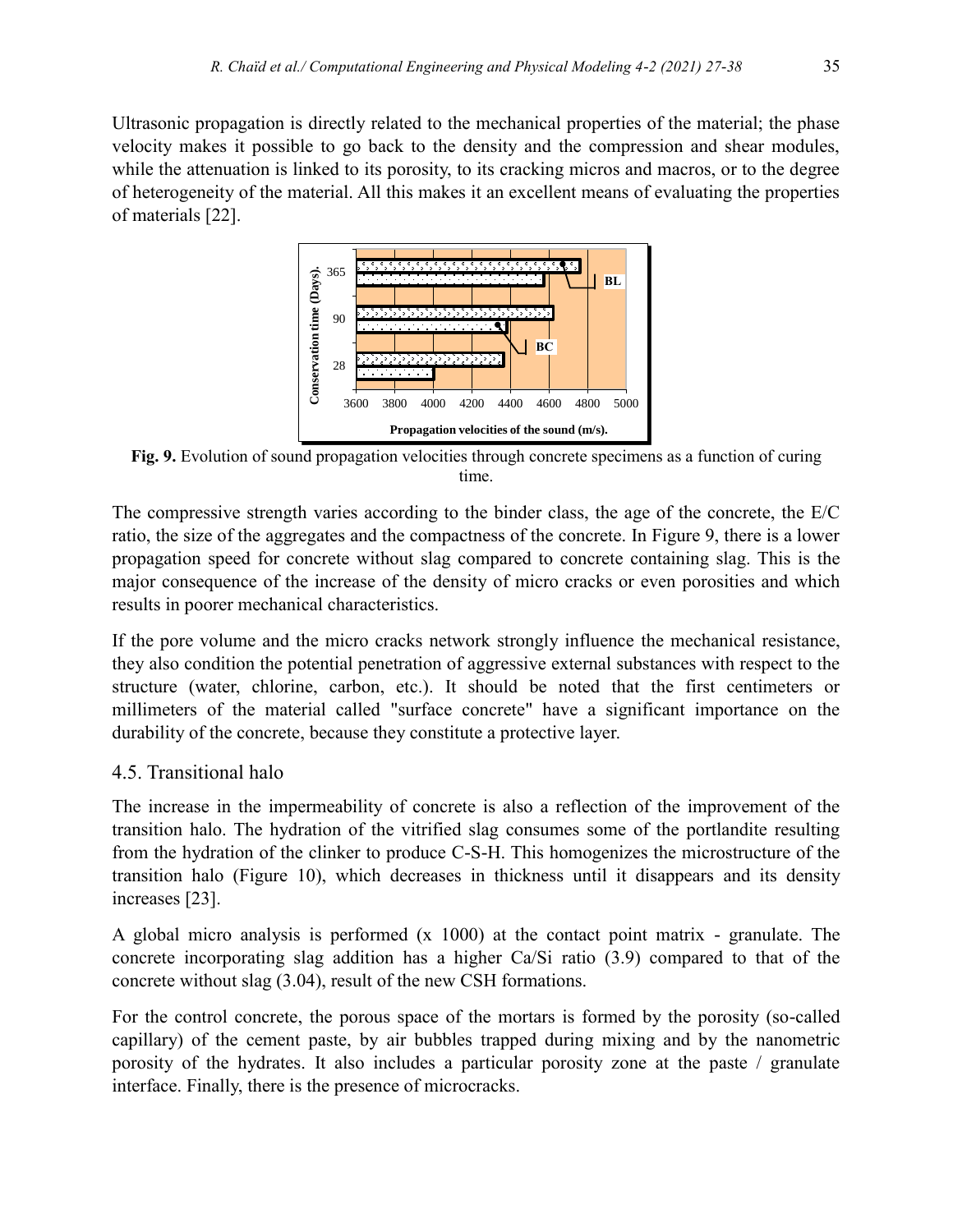Ultrasonic propagation is directly related to the mechanical properties of the material; the phase velocity makes it possible to go back to the density and the compression and shear modules, while the attenuation is linked to its porosity, to its cracking micros and macros, or to the degree of heterogeneity of the material. All this makes it an excellent means of evaluating the properties of materials [22].



**Fig. 9.** Evolution of sound propagation velocities through concrete specimens as a function of curing time.

The compressive strength varies according to the binder class, the age of the concrete, the E/C ratio, the size of the aggregates and the compactness of the concrete. In Figure 9, there is a lower propagation speed for concrete without slag compared to concrete containing slag. This is the major consequence of the increase of the density of micro cracks or even porosities and which results in poorer mechanical characteristics.

If the pore volume and the micro cracks network strongly influence the mechanical resistance, they also condition the potential penetration of aggressive external substances with respect to the structure (water, chlorine, carbon, etc.). It should be noted that the first centimeters or millimeters of the material called "surface concrete" have a significant importance on the durability of the concrete, because they constitute a protective layer.

#### 4.5. Transitional halo

The increase in the impermeability of concrete is also a reflection of the improvement of the transition halo. The hydration of the vitrified slag consumes some of the portlandite resulting from the hydration of the clinker to produce C-S-H. This homogenizes the microstructure of the transition halo (Figure 10), which decreases in thickness until it disappears and its density increases [23].

A global micro analysis is performed  $(x 1000)$  at the contact point matrix - granulate. The concrete incorporating slag addition has a higher Ca/Si ratio (3.9) compared to that of the concrete without slag (3.04), result of the new CSH formations.

For the control concrete, the porous space of the mortars is formed by the porosity (so-called capillary) of the cement paste, by air bubbles trapped during mixing and by the nanometric porosity of the hydrates. It also includes a particular porosity zone at the paste / granulate interface. Finally, there is the presence of microcracks.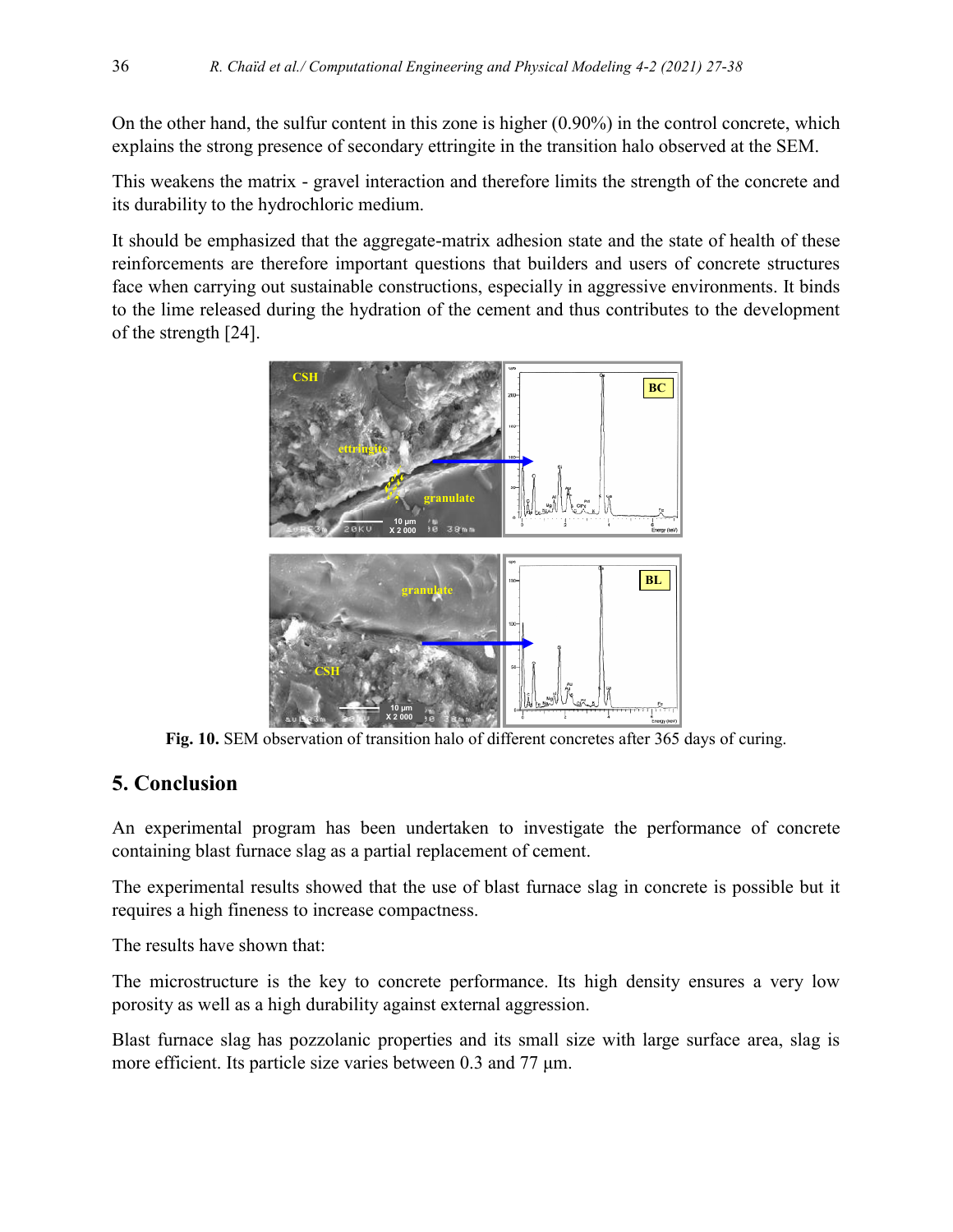On the other hand, the sulfur content in this zone is higher (0.90%) in the control concrete, which explains the strong presence of secondary ettringite in the transition halo observed at the SEM.

This weakens the matrix - gravel interaction and therefore limits the strength of the concrete and its durability to the hydrochloric medium.

It should be emphasized that the aggregate-matrix adhesion state and the state of health of these reinforcements are therefore important questions that builders and users of concrete structures face when carrying out sustainable constructions, especially in aggressive environments. It binds to the lime released during the hydration of the cement and thus contributes to the development of the strength [24].



**Fig. 10.** SEM observation of transition halo of different concretes after 365 days of curing.

# **5. Conclusion**

An experimental program has been undertaken to investigate the performance of concrete containing blast furnace slag as a partial replacement of cement.

The experimental results showed that the use of blast furnace slag in concrete is possible but it requires a high fineness to increase compactness.

The results have shown that:

The microstructure is the key to concrete performance. Its high density ensures a very low porosity as well as a high durability against external aggression.

Blast furnace slag has pozzolanic properties and its small size with large surface area, slag is more efficient. Its particle size varies between 0.3 and 77 μm.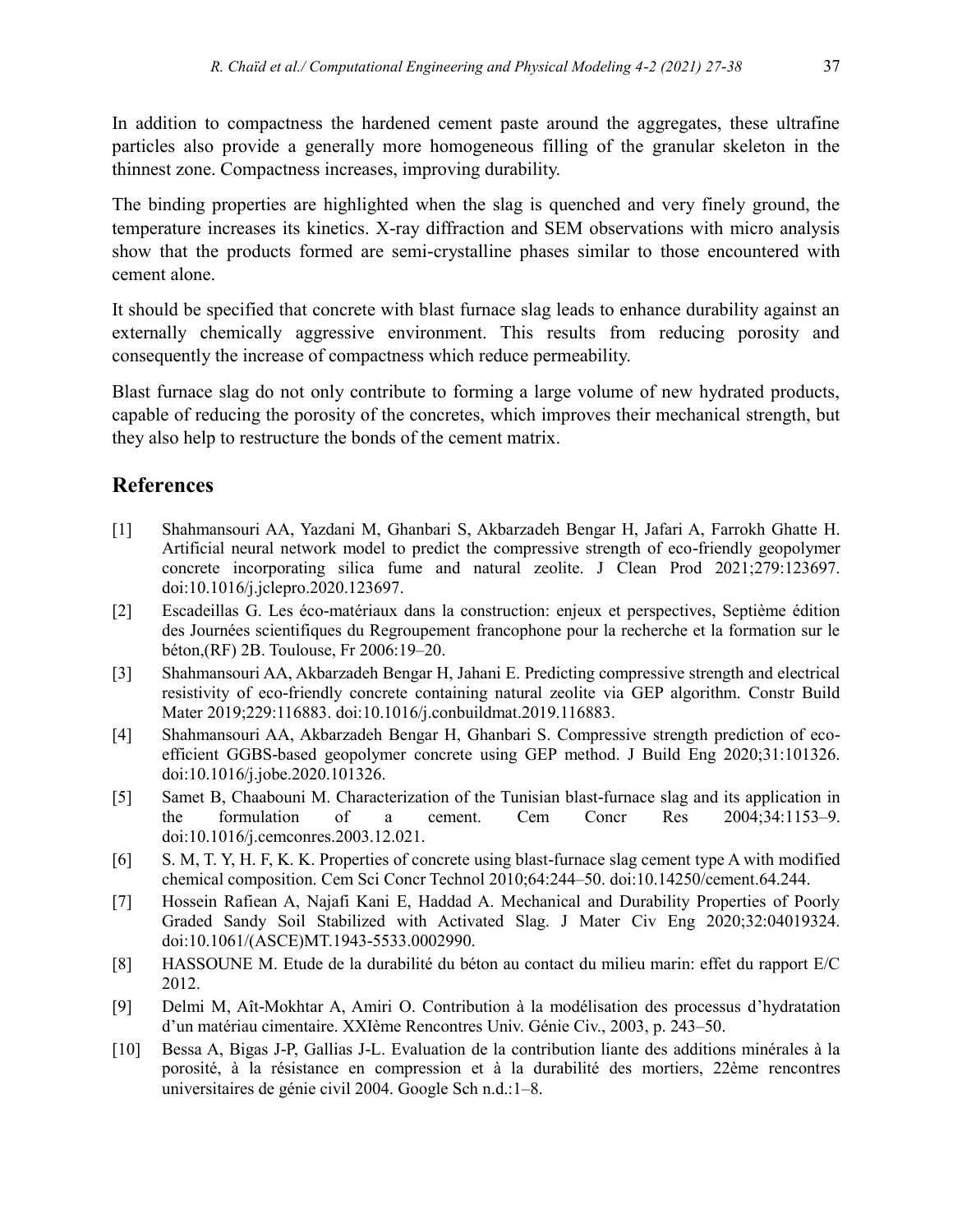In addition to compactness the hardened cement paste around the aggregates, these ultrafine particles also provide a generally more homogeneous filling of the granular skeleton in the thinnest zone. Compactness increases, improving durability.

The binding properties are highlighted when the slag is quenched and very finely ground, the temperature increases its kinetics. X-ray diffraction and SEM observations with micro analysis show that the products formed are semi-crystalline phases similar to those encountered with cement alone.

It should be specified that concrete with blast furnace slag leads to enhance durability against an externally chemically aggressive environment. This results from reducing porosity and consequently the increase of compactness which reduce permeability.

Blast furnace slag do not only contribute to forming a large volume of new hydrated products, capable of reducing the porosity of the concretes, which improves their mechanical strength, but they also help to restructure the bonds of the cement matrix.

# **References**

- [1] Shahmansouri AA, Yazdani M, Ghanbari S, Akbarzadeh Bengar H, Jafari A, Farrokh Ghatte H. Artificial neural network model to predict the compressive strength of eco-friendly geopolymer concrete incorporating silica fume and natural zeolite. J Clean Prod 2021;279:123697. doi:10.1016/j.jclepro.2020.123697.
- [2] Escadeillas G. Les éco-matériaux dans la construction: enjeux et perspectives, Septième édition des Journées scientifiques du Regroupement francophone pour la recherche et la formation sur le béton,(RF) 2B. Toulouse, Fr 2006:19–20.
- [3] Shahmansouri AA, Akbarzadeh Bengar H, Jahani E. Predicting compressive strength and electrical resistivity of eco-friendly concrete containing natural zeolite via GEP algorithm. Constr Build Mater 2019;229:116883. doi:10.1016/j.conbuildmat.2019.116883.
- [4] Shahmansouri AA, Akbarzadeh Bengar H, Ghanbari S. Compressive strength prediction of ecoefficient GGBS-based geopolymer concrete using GEP method. J Build Eng 2020;31:101326. doi:10.1016/j.jobe.2020.101326.
- [5] Samet B, Chaabouni M. Characterization of the Tunisian blast-furnace slag and its application in the formulation of a cement. Cem Concr Res 2004;34:1153–9. doi:10.1016/j.cemconres.2003.12.021.
- [6] S. M, T. Y, H. F, K. K. Properties of concrete using blast-furnace slag cement type A with modified chemical composition. Cem Sci Concr Technol 2010;64:244–50. doi:10.14250/cement.64.244.
- [7] Hossein Rafiean A, Najafi Kani E, Haddad A. Mechanical and Durability Properties of Poorly Graded Sandy Soil Stabilized with Activated Slag. J Mater Civ Eng 2020;32:04019324. doi:10.1061/(ASCE)MT.1943-5533.0002990.
- [8] HASSOUNE M. Etude de la durabilité du béton au contact du milieu marin: effet du rapport E/C 2012.
- [9] Delmi M, Aît-Mokhtar A, Amiri O. Contribution à la modélisation des processus d'hydratation d'un matériau cimentaire. XXIème Rencontres Univ. Génie Civ., 2003, p. 243–50.
- [10] Bessa A, Bigas J-P, Gallias J-L. Evaluation de la contribution liante des additions minérales à la porosité, à la résistance en compression et à la durabilité des mortiers, 22ème rencontres universitaires de génie civil 2004. Google Sch n.d.:1–8.